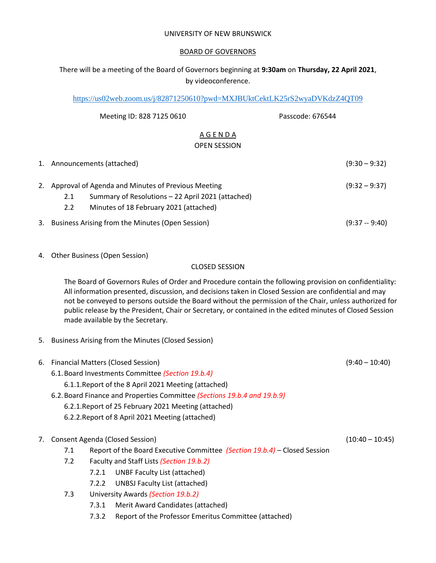#### UNIVERSITY OF NEW BRUNSWICK

## BOARD OF GOVERNORS

# There will be a meeting of the Board of Governors beginning at **9:30am** on **Thursday, 22 April 2021**, by videoconference.

<https://us02web.zoom.us/j/82871250610?pwd=MXJBUktCektLK25rS2wyaDVKdzZ4QT09>

| Meeting ID: 828 7125 0610                                                                                                                                          | Passcode: 676544 |                 |
|--------------------------------------------------------------------------------------------------------------------------------------------------------------------|------------------|-----------------|
| AGENDA<br><b>OPEN SESSION</b>                                                                                                                                      |                  |                 |
| 1. Announcements (attached)                                                                                                                                        |                  | $(9:30 - 9:32)$ |
| 2. Approval of Agenda and Minutes of Previous Meeting<br>Summary of Resolutions - 22 April 2021 (attached)<br>2.1<br>2.2<br>Minutes of 18 February 2021 (attached) |                  | $(9:32 - 9:37)$ |
| 3. Business Arising from the Minutes (Open Session)                                                                                                                |                  | $(9:37 - 9:40)$ |

4. Other Business (Open Session)

#### CLOSED SESSION

The Board of Governors Rules of Order and Procedure contain the following provision on confidentiality: All information presented, discussion, and decisions taken in Closed Session are confidential and may not be conveyed to persons outside the Board without the permission of the Chair, unless authorized for public release by the President, Chair or Secretary, or contained in the edited minutes of Closed Session made available by the Secretary.

5. Business Arising from the Minutes (Closed Session)

|                                    | 6. Financial Matters (Closed Session)                |                                                                           |                                          | $(9:40 - 10:40)$  |
|------------------------------------|------------------------------------------------------|---------------------------------------------------------------------------|------------------------------------------|-------------------|
|                                    | 6.1. Board Investments Committee (Section 19.b.4)    |                                                                           |                                          |                   |
|                                    | 6.1.1. Report of the 8 April 2021 Meeting (attached) |                                                                           |                                          |                   |
|                                    |                                                      | 6.2. Board Finance and Properties Committee (Sections 19.b.4 and 19.b.9)  |                                          |                   |
|                                    | 6.2.1. Report of 25 February 2021 Meeting (attached) |                                                                           |                                          |                   |
|                                    | 6.2.2. Report of 8 April 2021 Meeting (attached)     |                                                                           |                                          |                   |
|                                    |                                                      |                                                                           |                                          |                   |
| 7. Consent Agenda (Closed Session) |                                                      |                                                                           |                                          | $(10:40 - 10:45)$ |
|                                    | 7.1                                                  | Report of the Board Executive Committee (Section 19.b.4) – Closed Session |                                          |                   |
|                                    | 7.2                                                  |                                                                           | Faculty and Staff Lists (Section 19.b.2) |                   |
|                                    |                                                      | 7.2.1                                                                     | UNBF Faculty List (attached)             |                   |
|                                    |                                                      | 7.2.2                                                                     | UNBSJ Faculty List (attached)            |                   |
|                                    | University Awards (Section 19.b.2)<br>7.3            |                                                                           |                                          |                   |
|                                    |                                                      | 7.3.1                                                                     | Merit Award Candidates (attached)        |                   |

7.3.2 Report of the Professor Emeritus Committee (attached)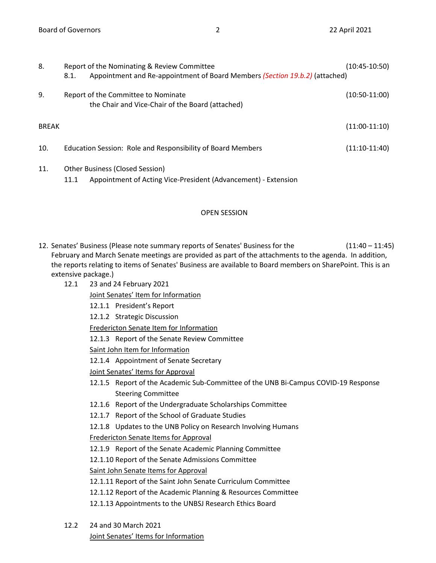| 8.           | Report of the Nominating & Review Committee<br>Appointment and Re-appointment of Board Members (Section 19.b.2) (attached)<br>8.1. | (10:45-10:50)   |
|--------------|------------------------------------------------------------------------------------------------------------------------------------|-----------------|
| 9.           | Report of the Committee to Nominate<br>the Chair and Vice-Chair of the Board (attached)                                            | $(10:50-11:00)$ |
| <b>BREAK</b> |                                                                                                                                    | $(11:00-11:10)$ |
| 10.          | Education Session: Role and Responsibility of Board Members                                                                        | $(11:10-11:40)$ |
| 11.          | Other Business (Closed Session)<br>Appointment of Acting Vice-President (Advancement) - Extension<br>11.1                          |                 |

## OPEN SESSION

- 12. Senates' Business (Please note summary reports of Senates' Business for the (11:40 11:45) February and March Senate meetings are provided as part of the attachments to the agenda. In addition, the reports relating to items of Senates' Business are available to Board members on SharePoint. This is an extensive package.)
	- 12.1 23 and 24 February 2021

Joint Senates' Item for Information

12.1.1 President's Report

12.1.2 Strategic Discussion

Fredericton Senate Item for Information

12.1.3 Report of the Senate Review Committee

Saint John Item for Information

12.1.4 Appointment of Senate Secretary

Joint Senates' Items for Approval

- 12.1.5 Report of the Academic Sub-Committee of the UNB Bi-Campus COVID-19 Response Steering Committee
- 12.1.6 Report of the Undergraduate Scholarships Committee
- 12.1.7 Report of the School of Graduate Studies
- 12.1.8 Updates to the UNB Policy on Research Involving Humans

Fredericton Senate Items for Approval

12.1.9 Report of the Senate Academic Planning Committee

12.1.10 Report of the Senate Admissions Committee

Saint John Senate Items for Approval

- 12.1.11 Report of the Saint John Senate Curriculum Committee
- 12.1.12 Report of the Academic Planning & Resources Committee
- 12.1.13 Appointments to the UNBSJ Research Ethics Board
- 12.2 24 and 30 March 2021 Joint Senates' Items for Information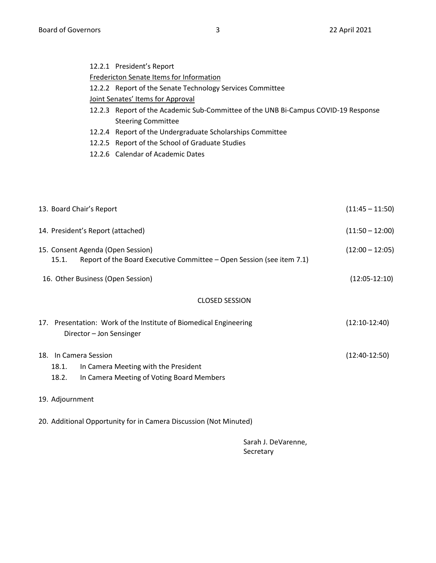| 12.2.1 President's Report |  |
|---------------------------|--|
|---------------------------|--|

# Fredericton Senate Items for Information

- 12.2.2 Report of the Senate Technology Services Committee
- Joint Senates' Items for Approval
- 12.2.3 Report of the Academic Sub-Committee of the UNB Bi-Campus COVID-19 Response Steering Committee
- 12.2.4 Report of the Undergraduate Scholarships Committee
- 12.2.5 Report of the School of Graduate Studies
- 12.2.6 Calendar of Academic Dates

| 13. Board Chair's Report                                                                                                     |                 |  |  |
|------------------------------------------------------------------------------------------------------------------------------|-----------------|--|--|
| 14. President's Report (attached)                                                                                            |                 |  |  |
| 15. Consent Agenda (Open Session)<br>Report of the Board Executive Committee - Open Session (see item 7.1)<br>15.1.          |                 |  |  |
| 16. Other Business (Open Session)                                                                                            | $(12:05-12:10)$ |  |  |
| <b>CLOSED SESSION</b>                                                                                                        |                 |  |  |
| 17. Presentation: Work of the Institute of Biomedical Engineering<br>Director - Jon Sensinger                                | $(12:10-12:40)$ |  |  |
| 18. In Camera Session<br>In Camera Meeting with the President<br>18.1.<br>In Camera Meeting of Voting Board Members<br>18.2. | $(12:40-12:50)$ |  |  |
| 19. Adjournment                                                                                                              |                 |  |  |

20. Additional Opportunity for in Camera Discussion (Not Minuted)

Sarah J. DeVarenne, Secretary